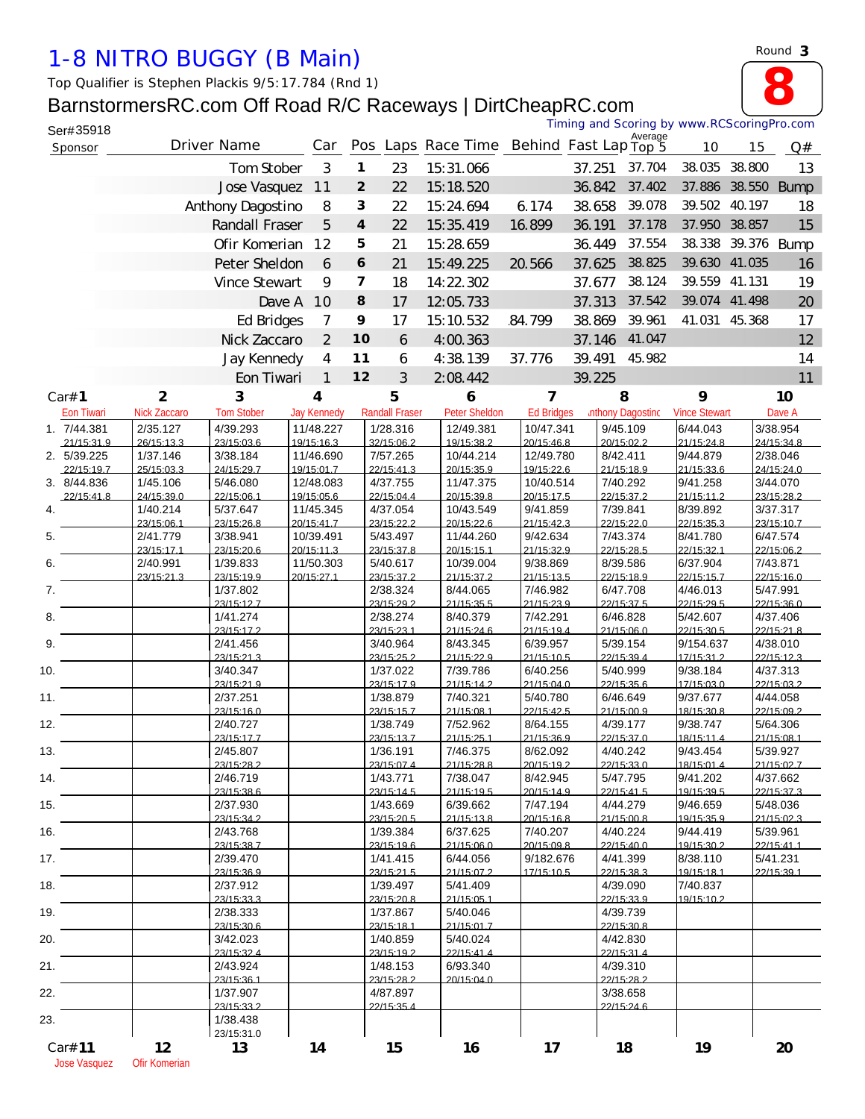## *1-8 NITRO BUGGY (B Main)*

*Top Qualifier is Stephen Plackis 9/5:17.784 (Rnd 1)*

## BarnstormersRC.com Off Road R/C Raceways | DirtCheapRC.com



| Ser#35918                 |                        |                        |                         |                         |                        |                         |                         |        | Timing and Scoring by www.RCScoringPro.com |                        |        |                        |
|---------------------------|------------------------|------------------------|-------------------------|-------------------------|------------------------|-------------------------|-------------------------|--------|--------------------------------------------|------------------------|--------|------------------------|
| Sponsor                   |                        | Driver Name            | Car                     |                         |                        | Pos Laps Race Time      |                         |        | Average<br>Behind Fast Lap Top 5           | 10                     | 15     | Q#                     |
|                           |                        | Tom Stober             | 3                       | $\mathbf{1}$            | 23                     | 15:31.066               |                         | 37.251 | 37.704                                     | 38.035                 | 38.800 | 13                     |
|                           |                        | Jose Vasquez           | 11                      | $\overline{2}$          | 22                     | 15:18.520               |                         | 36.842 | 37.402                                     | 37.886                 |        | 38.550 Bump            |
|                           |                        | Anthony Dagostino      | 8                       | 3                       | 22                     | 15:24.694               | 6.174                   | 38.658 | 39.078                                     | 39.502                 | 40.197 | 18                     |
|                           |                        | Randall Fraser         | 5                       | $\overline{4}$          | 22                     | 15:35.419               | 16.899                  | 36.191 | 37.178                                     | 37.950                 | 38.857 | 15                     |
|                           |                        | Ofir Komerian          | 12                      | 5                       | 21                     | 15:28.659               |                         | 36.449 | 37.554                                     | 38.338                 |        | 39.376 Bump            |
|                           |                        | Peter Sheldon          | 6                       | 6                       | 21                     | 15:49.225               | 20.566                  | 37.625 | 38.825                                     | 39.630 41.035          |        | 16                     |
|                           |                        | Vince Stewart          | 9                       | $\overline{\mathbf{z}}$ | 18                     | 14:22.302               |                         | 37.677 | 38.124                                     | 39.559                 | 41.131 | 19                     |
|                           |                        | Dave A                 | 10                      | 8                       | 17                     | 12:05.733               |                         | 37.313 | 37.542                                     | 39.074                 | 41.498 | 20                     |
|                           |                        | Ed Bridges             | 7                       | 9                       | 17                     | 15:10.532               | 84.799                  | 38.869 | 39.961                                     | 41.031                 | 45.368 | 17                     |
|                           |                        | Nick Zaccaro           | 2                       | 10                      | 6                      | 4:00.363                |                         | 37.146 | 41.047                                     |                        |        | 12                     |
|                           |                        | Jay Kennedy            | $\overline{4}$          | 11                      | 6                      | 4:38.139                | 37.776                  | 39.491 | 45.982                                     |                        |        | 14                     |
|                           |                        | Eon Tiwari             | $\mathbf{1}$            | 12                      | 3                      | 2:08.442                |                         | 39.225 |                                            |                        |        | 11                     |
| Car# 1                    | $\overline{2}$         | 3                      | $\overline{\mathbf{4}}$ |                         | 5                      | 6                       | $\overline{7}$          |        | 8                                          | 9                      |        | 10                     |
| Eon Tiwari                | Nick Zaccaro           | <b>TomStober</b>       | <b>Jay Kennedy</b>      |                         | <b>Randall Fraser</b>  | Peter Sheldon           | <b>Ed Bridges</b>       |        | <b>Inthony Dagosting</b>                   | <b>Vince Stewart</b>   |        | Dave A                 |
| 1. 7/44.381<br>21/15:31.9 | 2/35.127<br>26/15:13.3 | 4/39.293<br>23/15:03.6 | 11/48.227<br>19/15:16.3 |                         | 1/28.316<br>32/15:06.2 | 12/49.381<br>19/15:38.2 | 10/47.341<br>20/15:46.8 |        | 9/45.109<br>20/15:02.2                     | 6/44.043<br>21/15:24.8 |        | 3/38.954<br>24/15:34.8 |
| 2. 5/39.225               | 1/37.146               | 3/38.184               | 11/46.690               |                         | 7/57.265               | 10/44.214               | 12/49.780               |        | 8/42.411                                   | 9/44.879               |        | 2/38.046               |
| 22/15:19.7                | 25/15:03.3             | 24/15:297              | 19/15:01.7              |                         | 22/15:41.3             | 20/15:35.9              | 19/15:22 6              |        | 21/15:18.9                                 | 21/15:33 6             |        | 24/15:24 0             |
| 3. 8/44.836<br>22/15:41.8 | 1/45.106<br>24/15:39.0 | 5/46.080<br>22/15:06.1 | 12/48.083<br>19/15:05.6 |                         | 4/37.755<br>22/15:04.4 | 11/47.375<br>20/15:39.8 | 10/40.514<br>20/15:17.5 |        | 7/40.292<br>22/15:37.2                     | 9/41.258<br>21/15:11.2 |        | 3/44.070<br>23/15:28.2 |
| 4.                        | 1/40.214               | 5/37.647               | 11/45.345               |                         | 4/37.054               | 10/43.549               | 9/41.859                |        | 7/39.841                                   | 8/39.892               |        | 3/37.317               |
| 5.                        | 23/15:06.1<br>2/41.779 | 23/15:26.8<br>3/38.941 | 20/15:41.7<br>10/39.491 |                         | 23/15:22.2<br>5/43.497 | 20/15:22.6<br>11/44.260 | 21/15:42.3<br>9/42.634  |        | 22/15:22.0<br>7/43.374                     | 22/15:35.3<br>8/41.780 |        | 23/15:10.7<br>6/47.574 |
|                           | 23/15:171              | 23/15:206              | 20/15:11.3              |                         | 23/15:37 8             | 20/15:15 1              | 21/15:329               |        | 22/15:28.5                                 | 22/15:32 1             |        | 22/15:062              |
| 6.                        | 2/40.991               | 1/39.833               | 11/50.303               |                         | 5/40.617               | 10/39.004               | 9/38.869                |        | 8/39.586                                   | 6/37.904               |        | 7/43.871               |
| 7.                        | 23/15:21.3             | 23/15:19.9<br>1/37.802 | 20/15:27.1              |                         | 23/15:37.2<br>2/38.324 | 21/15:37.2<br>8/44.065  | 21/15:13.5<br>7/46.982  |        | 22/15:18.9<br>6/47.708                     | 22/15:15.7<br>4/46.013 |        | 22/15:16.0<br>5/47.991 |
|                           |                        | 23/15:12.7             |                         |                         | 23/15:29.2             | 21/15:35.5              | 21/15:23.9              |        | 22/15:37.5                                 | 22/15:29.5             |        | 22/15:36.0             |
| 8.                        |                        | 1/41.274<br>23/15:17.2 |                         |                         | 2/38.274<br>23/15:23.1 | 8/40.379<br>21/15:24.6  | 7/42.291<br>21/15:19.4  |        | 6/46.828<br>21/15:06.0                     | 5/42.607<br>22/15:30.5 |        | 4/37.406<br>22/15:21.8 |
| 9.                        |                        | 2/41.456               |                         |                         | 3/40.964               | 8/43.345                | 6/39.957                |        | 5/39.154                                   | 9/154.637              |        | 4/38.010               |
|                           |                        | 23/15:21.3             |                         |                         | 23/15:25.2             | 21/15:22.9<br>7/39.786  | 21/15:10.5<br>6/40.256  |        | 22/15:39.4                                 | 17/15:31.2<br>9/38.184 |        | 22/15:12.3             |
| 10.                       |                        | 3/40.347<br>23/15:21.9 |                         |                         | 1/37.022<br>23/15:17.9 | 21/15:142               | 21/15:04.0              |        | 5/40.999<br>22/15:356                      | 17/15:03.0             |        | 4/37.313<br>22/15:03.2 |
| 11.                       |                        | 2/37.251               |                         |                         | 1/38.879               | 7/40.321                | 5/40.780                |        | 6/46.649                                   | 9/37.677               |        | 4/44.058               |
| 12.                       |                        | 23/15:16.0<br>2/40.727 |                         |                         | 23/15:15.7<br>1/38.749 | 21/15:08.1<br>7/52.962  | 22/15:42.5<br>8/64.155  |        | 21/15:00.9<br>4/39.177                     | 18/15:30.8<br>9/38.747 |        | 22/15:09.2<br>5/64.306 |
|                           |                        | 23/15:17.7             |                         |                         | 23/15:13.7             | 21/15:25.1              | 21/15:36.9              |        | 22/15:37.0                                 | 18/15:11.4             |        | 21/15:08.1             |
| 13.                       |                        | 2/45.807<br>23/15:28.2 |                         |                         | 1/36.191<br>23/15:07.4 | 7/46.375<br>21/15:28.8  | 8/62.092<br>20/15:19.2  |        | 4/40.242<br>22/15:33.0                     | 9/43.454<br>18/15:01.4 |        | 5/39.927<br>21/15:02.7 |
| 14.                       |                        | 2/46.719               |                         |                         | 1/43.771               | 7/38.047                | 8/42.945                |        | 5/47.795                                   | 9/41.202               |        | 4/37.662               |
|                           |                        | 23/15:38.6<br>2/37.930 |                         |                         | 23/15:14.5<br>1/43.669 | 21/15:19.5              | 20/15:14.9<br>7/47.194  |        | 22/15:41.5<br>4/44.279                     | 19/15:39.5             |        | 22/15:37.3<br>5/48.036 |
| 15.                       |                        | 23/15:34.2             |                         |                         | 23/15:20.5             | 6/39.662<br>21/15:13.8  | 20/15:16.8              |        | 21/15:00.8                                 | 9/46.659<br>19/15:35.9 |        | 21/15:02.3             |
| 16.                       |                        | 2/43.768               |                         |                         | 1/39.384               | 6/37.625                | 7/40.207                |        | 4/40.224                                   | 9/44.419               |        | 5/39.961               |
| 17.                       |                        | 23/15:38.7<br>2/39.470 |                         |                         | 23/15:196<br>1/41.415  | 21/15:060<br>6/44.056   | 20/15:09.8<br>9/182.676 |        | 22/15:40.0<br>4/41.399                     | 19/15:30.2<br>8/38.110 |        | 22/15:411<br>5/41.231  |
|                           |                        | 23/15:36.9             |                         |                         | 23/15:21.5             | 21/15:07.2              | 17/15:10.5              |        | 22/15:38.3                                 | 19/15:18.1             |        | 22/15:39.1             |
| 18.                       |                        | 2/37.912<br>23/15:33.3 |                         |                         | 1/39.497<br>23/15:20.8 | 5/41.409<br>21/15:05.1  |                         |        | 4/39.090<br>22/15:33.9                     | 7/40.837<br>19/15:10.2 |        |                        |
| 19.                       |                        | 2/38.333               |                         |                         | 1/37.867               | 5/40.046                |                         |        | 4/39.739                                   |                        |        |                        |
|                           |                        | 23/15:306              |                         |                         | 23/15:18.1             | 21/15:017               |                         |        | 22/15:30.8                                 |                        |        |                        |
| 20.                       |                        | 3/42.023<br>23/15:32.4 |                         |                         | 1/40.859<br>23/15:19.2 | 5/40.024<br>22/15:41.4  |                         |        | 4/42.830<br>22/15:31.4                     |                        |        |                        |
| 21.                       |                        | 2/43.924               |                         |                         | 1/48.153               | 6/93.340                |                         |        | 4/39.310                                   |                        |        |                        |
| 22.                       |                        | 23/15:36.1<br>1/37.907 |                         |                         | 23/15:28.2<br>4/87.897 | 20/15:04.0              |                         |        | 22/15:28.2<br>3/38.658                     |                        |        |                        |
|                           |                        | 23/15:33.2             |                         |                         | 22/15:35.4             |                         |                         |        | 22/15:246                                  |                        |        |                        |
| 23.                       |                        | 1/38.438               |                         |                         |                        |                         |                         |        |                                            |                        |        |                        |
| Car# 11                   | 12                     | 23/15:31.0<br>13       | 14                      |                         | 15                     | 16                      | 17                      |        | 18                                         | 19                     |        | 20                     |
| <b>Jose Vasquez</b>       | Ofir Komerian          |                        |                         |                         |                        |                         |                         |        |                                            |                        |        |                        |